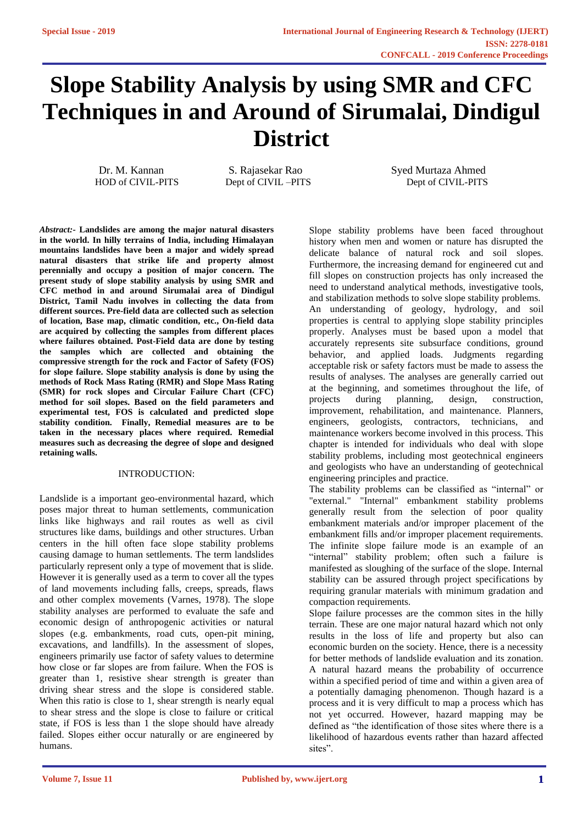# **Slope Stability Analysis by using SMR and CFC Techniques in and Around of Sirumalai, Dindigul District**

 Dr. M. Kannan S. Rajasekar Rao Syed Murtaza Ahmed HOD of CIVIL-PITS Dept of CIVIL –PITS Dept of CIVIL-PITS

*[Abstract:](https://www.ijert.org/cfp)-* **Landslides are among the major natural disasters in the world. In hilly terrains of India, including Himalayan mountains landslides have been a major and widely spread natural disasters that strike life and property almost perennially and occupy a position of major concern. The present study of slope stability analysis by using SMR and CFC method in and around Sirumalai area of Dindigul District, Tamil Nadu involves in collecting the data from different sources. Pre-field data are collected such as selection of location, Base map, climatic condition, etc., On-field data are acquired by collecting the samples from different places where failures obtained. Post-Field data are done by testing the samples which are collected and obtaining the compressive strength for the rock and Factor of Safety (FOS) for slope failure. Slope stability analysis is done by using the methods of Rock Mass Rating (RMR) and Slope Mass Rating (SMR) for rock slopes and Circular Failure Chart (CFC) method for soil slopes. Based on the field parameters and experimental test, FOS is calculated and predicted slope stability condition. Finally, Remedial measures are to be taken in the necessary places where required. Remedial measures such as decreasing the degree of slope and designed retaining walls.**

#### [INTRODUCTION:](https://www.ijert.org/cfp)

Landslide is a important geo-environmental hazard, which poses major threat to human settlements, communication links like highways and rail routes as well as civil structures like dams, buildings and other structures. Urban centers in the hill often face slope stability problems causing damage to human settlements. The term landslides particularly represent only a type of movement that is slide. However it is generally used as a term to cover all the types of land movements including falls, creeps, spreads, flaws and other complex movements (Varnes, 1978). The slope stability analyses are performed to evaluate the safe and economic design of anthropogenic activities or natural slopes (e.g. embankments, road cuts, open-pit mining, excavations, and landfills). In the assessment of slopes, engineers primarily use factor of safety values to determine how close or far slopes are from failure. When the FOS is greater than 1, resistive shear strength is greater than driving shear stress and the slope is considered stable. When this ratio is close to 1, shear strength is nearly equal to shear stress and the slope is close to failure or critical state, if FOS is less than 1 the slope should have already failed. Slopes either occur naturally or are engineered by humans.

Slope stability problems have been faced throughout history when men and women or nature has disrupted the delicate balance of natural rock and soil slopes. Furthermore, the increasing demand for engineered cut and fill slopes on construction projects has only increased the need to understand analytical methods, investigative tools, and stabilization methods to solve slope stability problems. An understanding of geology, hydrology, and soil properties is central to applying slope stability principles properly. Analyses must be based upon a model that accurately represents site subsurface conditions, ground behavior, and applied loads. Judgments regarding acceptable risk or safety factors must be made to assess the results of analyses. The analyses are generally carried out at the beginning, and sometimes throughout the life, of projects during planning, design, construction, improvement, rehabilitation, and maintenance. Planners, engineers, geologists, contractors, technicians, and maintenance workers become involved in this process. This chapter is intended for individuals who deal with slope stability problems, including most geotechnical engineers and geologists who have an understanding of geotechnical engineering principles and practice.

The stability problems can be classified as "internal" or "external." "Internal" embankment stability problems generally result from the selection of poor quality embankment materials and/or improper placement of the embankment fills and/or improper placement requirements. The infinite slope failure mode is an example of an "internal" stability problem; often such a failure is manifested as sloughing of the surface of the slope. Internal stability can be assured through project specifications by requiring granular materials with minimum gradation and compaction requirements.

Slope failure processes are the common sites in the hilly terrain. These are one major natural hazard which not only results in the loss of life and property but also can economic burden on the society. Hence, there is a necessity for better methods of landslide evaluation and its zonation. A natural hazard means the probability of occurrence within a specified period of time and within a given area of a potentially damaging phenomenon. Though hazard is a process and it is very difficult to map a process which has not yet occurred. However, hazard mapping may be defined as "the identification of those sites where there is a likelihood of hazardous events rather than hazard affected sites".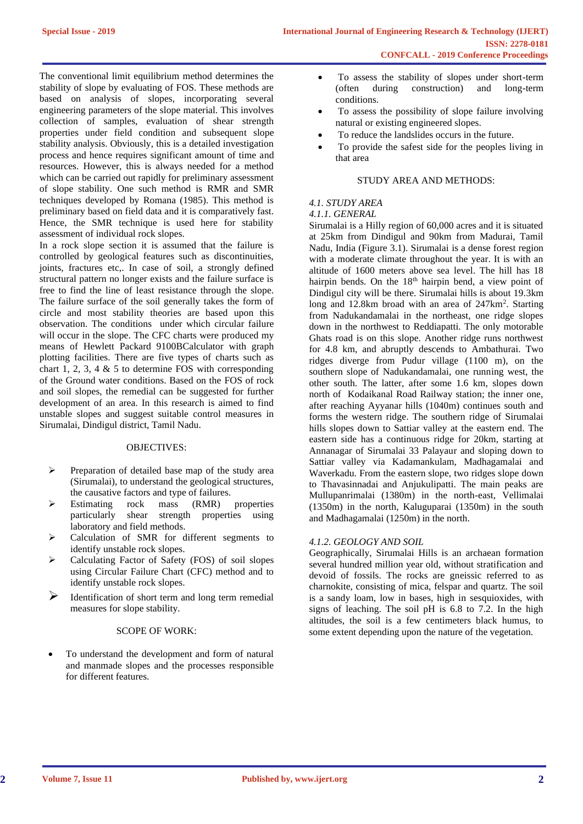The conventional limit equilibrium method determines the stability of slope by evaluating of FOS. These methods are based on analysis of slopes, incorporating several engineering parameters of the slope material. This involves collection of samples, evaluation of shear strength properties under field condition and subsequent slope stability analysis. Obviously, this is a detailed investigation process and hence requires significant amount of time and resources. However, this is always needed for a method which can be carried out rapidly for preliminary assessment of slope stability. One such method is RMR and SMR techniques developed by Romana (1985). This method is preliminary based on field data and it is comparatively fast. Hence, the SMR technique is used here for stability assessment of individual rock slopes.

In a rock slope section it is assumed that the failure is controlled by geological features such as discontinuities, joints, fractures etc,. In case of soil, a strongly defined structural pattern no longer exists and the failure surface is free to find the line of least resistance through the slope. The failure surface of the soil generally takes the form of circle and most stability theories are based upon this observation. The conditions under which circular failure will occur in the slope. The CFC charts were produced my means of Hewlett Packard 9100BCalculator with graph plotting facilities. There are five types of charts such as chart 1, 2, 3, 4  $\&$  5 to determine FOS with corresponding of the Ground water conditions. Based on the FOS of rock and soil slopes, the remedial can be suggested for further development of an area. In this research is aimed to find unstable slopes and suggest suitable control measures in Sirumalai, Dindigul district, Tamil Nadu.

## OBJECTIVES:

- ➢ Preparation of detailed base map of the study area (Sirumalai), to understand the geological structures,
- the causative factors and type of failures.<br>Estimating rock mass (RMR) ➢ Estimating rock mass (RMR) properties particularly shear strength properties using laboratory and field methods.
- ➢ Calculation of SMR for different segments to identify unstable rock slopes.
- ➢ Calculating Factor of Safety (FOS) of soil slopes using Circular Failure Chart (CFC) method and to identify unstable rock slopes.
- Identification of short term and long term remedial measures for slope stability.

### SCOPE OF WORK:

To understand the development and form of natural and manmade slopes and the processes responsible for different features.

- To assess the stability of slopes under short-term (often during construction) and long-term conditions.
- To assess the possibility of slope failure involving natural or existing engineered slopes.
- To reduce the landslides occurs in the future.
- To provide the safest side for the peoples living in that area

### STUDY AREA AND METHODS:

# *4.1. STUDY AREA*

## *4.1.1. GENERAL*

Sirumalai is a Hilly region of 60,000 acres and it is situated at 25km from Dindigul and 90km from Madurai, Tamil Nadu, India (Figure 3.1). Sirumalai is a dense forest region with a moderate climate throughout the year. It is with an altitude of 1600 meters above sea level. The hill has 18 hairpin bends. On the 18<sup>th</sup> hairpin bend, a view point of Dindigul city will be there. Sirumalai hills is about 19.3km long and 12.8km broad with an area of 247km<sup>2</sup>. Starting from Nadukandamalai in the northeast, one ridge slopes down in the northwest to Reddiapatti. The only motorable Ghats road is on this slope. Another ridge runs northwest for 4.8 km, and abruptly descends to Ambathurai. Two ridges diverge from Pudur village (1100 m), on the southern slope of Nadukandamalai, one running west, the other south. The latter, after some 1.6 km, slopes down north of Kodaikanal Road Railway station; the inner one, after reaching Ayyanar hills (1040m) continues south and forms the western ridge. The southern ridge of Sirumalai hills slopes down to Sattiar valley at the eastern end. The eastern side has a continuous ridge for 20km, starting at Annanagar of Sirumalai 33 Palayaur and sloping down to Sattiar valley via Kadamankulam, Madhagamalai and Waverkadu. From the eastern slope, two ridges slope down to Thavasinnadai and Anjukulipatti. The main peaks are Mullupanrimalai (1380m) in the north-east, Vellimalai (1350m) in the north, Kaluguparai (1350m) in the south and Madhagamalai (1250m) in the north.

#### *4.1.2. GEOLOGY AND SOIL*

Geographically, Sirumalai Hills is an archaean formation several hundred million year old, without stratification and devoid of fossils. The rocks are gneissic referred to as charnokite, consisting of mica, felspar and quartz. The soil is a sandy loam, low in bases, high in sesquioxides, with signs of leaching. The soil pH is 6.8 to 7.2. In the high altitudes, the soil is a few centimeters black humus, to some extent depending upon the nature of the vegetation.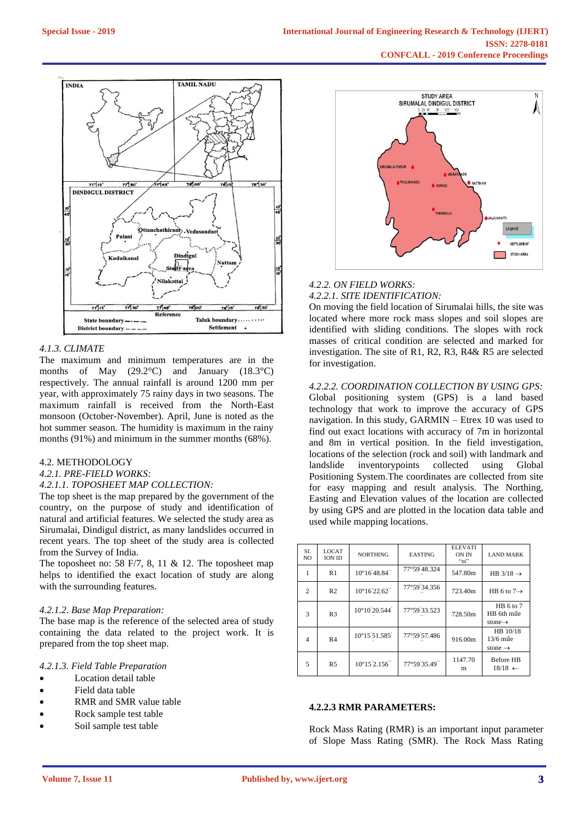

## *4.1.3. CLIMATE*

The maximum and minimum temperatures are in the months of May (29.2°C) and January (18.3°C) respectively. The annual rainfall is around 1200 mm per year, with approximately 75 rainy days in two seasons. The maximum rainfall is received from the North-East monsoon (October-November). April, June is noted as the hot summer season. The humidity is maximum in the rainy months (91%) and minimum in the summer months (68%).

#### 4.2. METHODOLOGY

*4.2.1. PRE-FIELD WORKS:*

### *4.2.1.1. TOPOSHEET MAP COLLECTION:*

The top sheet is the map prepared by the government of the country, on the purpose of study and identification of natural and artificial features. We selected the study area as Sirumalai, Dindigul district, as many landslides occurred in recent years. The top sheet of the study area is collected from the Survey of India.

The toposheet no: 58 F/7, 8, 11 & 12. The toposheet map helps to identified the exact location of study are along with the surrounding features.

#### *4.2.1.2. Base Map Preparation:*

The base map is the reference of the selected area of study containing the data related to the project work. It is prepared from the top sheet map.

#### *4.2.1.3. Field Table Preparation*

- Location detail table
- Field data table
- RMR and SMR value table
- Rock sample test table
- Soil sample test table



# *4.2.2. ON FIELD WORKS: 4.2.2.1. SITE IDENTIFICATION:*

On moving the field location of Sirumalai hills, the site was located where more rock mass slopes and soil slopes are identified with sliding conditions. The slopes with rock masses of critical condition are selected and marked for investigation. The site of R1, R2, R3, R4& R5 are selected for investigation.

*4.2.2.2. COORDINATION COLLECTION BY USING GPS:* Global positioning system (GPS) is a land based technology that work to improve the accuracy of GPS navigation. In this study, GARMIN – Etrex 10 was used to find out exact locations with accuracy of 7m in horizontal and 8m in vertical position. In the field investigation, locations of the selection (rock and soil) with landmark and landslide inventorypoints collected using Global inventorypoints collected using Positioning System.The coordinates are collected from site for easy mapping and result analysis. The Northing, Easting and Elevation values of the location are collected by using GPS and are plotted in the location data table and used while mapping locations.

| SI.<br>N <sub>O</sub> | <b>LOCAT</b><br><b>ION ID</b> | <b>NORTHING</b>                             | <b>EASTING</b> | <b>ELEVATI</b><br><b>ON IN</b><br>$\cdot$ "m" | <b>LAND MARK</b>                                |
|-----------------------|-------------------------------|---------------------------------------------|----------------|-----------------------------------------------|-------------------------------------------------|
|                       | R1                            | $10^{\circ}16'48.84''$                      | 77°59'48.324   | 547.80m                                       | HB $3/18 \rightarrow$                           |
| 2                     | R <sub>2</sub>                | $10^{\circ}16^{\prime}22.62^{\prime\prime}$ | 77°59'34.356   | 723.40m                                       | HB 6 to $7 \rightarrow$                         |
| 3                     | R <sub>3</sub>                | 10°10'20.544'                               | 77°59'33.523   | 728.50m                                       | HB 6 to 7<br>HB 6th mile<br>stone $\rightarrow$ |
| $\overline{4}$        | R <sub>4</sub>                | $10^{\circ}15'51.585'$                      | 77°59'57.486   | 916.00m                                       | HB 10/18<br>$13/6$ mile<br>stone $\rightarrow$  |
| 5                     | R <sub>5</sub>                | $10^{\circ}15'2.156''$                      | 77°59'35.49"   | 1147.70<br>m                                  | <b>Before HB</b><br>$18/18 \leftarrow$          |

#### **4.2.2.3 RMR PARAMETERS:**

Rock Mass Rating (RMR) is an important input parameter of Slope Mass Rating (SMR). The Rock Mass Rating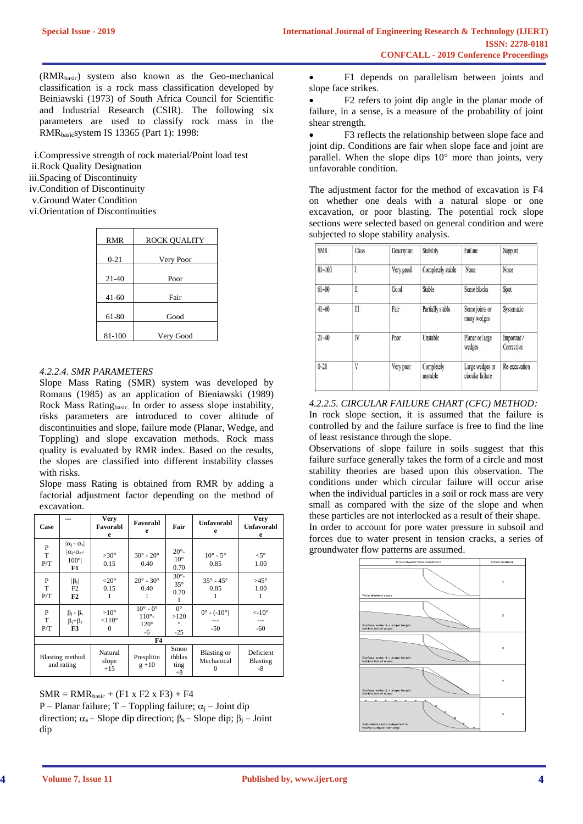(RMRbasic) system also known as the Geo-mechanical classification is a rock mass classification developed by Beiniawski (1973) of South Africa Council for Scientific and Industrial Research (CSIR). The following six parameters are used to classify rock mass in the RMRbasicsystem IS 13365 (Part 1): 1998:

i.Compressive strength of rock material/Point load test

ii.Rock Quality Designation

iii.Spacing of Discontinuity

iv.Condition of Discontinuity

v.Ground Water Condition

vi.Orientation of Discontinuities

| <b>RMR</b> | ROCK QUALITY |
|------------|--------------|
| $0 - 21$   | Very Poor    |
| $21 - 40$  | Poor         |
|            |              |
| $41-60$    | Fair         |
| 61-80      | Good         |
| 81-100     | Very Good    |

### *4.2.2.4. SMR PARAMETERS*

Slope Mass Rating (SMR) system was developed by Romans (1985) as an application of Bieniawski (1989) Rock Mass Ratingbasic. In order to assess slope instability, risks parameters are introduced to cover altitude of discontinuities and slope, failure mode (Planar, Wedge, and Toppling) and slope excavation methods. Rock mass quality is evaluated by RMR index. Based on the results, the slopes are classified into different instability classes with risks.

Slope mass Rating is obtained from RMR by adding a factorial adjustment factor depending on the method of excavation.

| Case          | ---                                                                         | Very<br>Favorabl<br>e                            | Favorabl<br>e                                                      | Fair                                    | <b>Unfavorabl</b><br>e                          | Very<br><b>Unfavorabl</b><br>e      |  |
|---------------|-----------------------------------------------------------------------------|--------------------------------------------------|--------------------------------------------------------------------|-----------------------------------------|-------------------------------------------------|-------------------------------------|--|
| P<br>T<br>P/T | $ \alpha_1 - \alpha_s $<br>$\alpha_i$ - $\alpha_{s}$ -<br>$100^\circ$<br>F1 | $>30^\circ$<br>0.15                              | $30^\circ$ - $20^\circ$<br>0.40                                    | $20^\circ$ -<br>$10^{\circ}$<br>0.70    | $10^{\circ}$ - $5^{\circ}$<br>0.85              | $<$ 5°<br>1.00                      |  |
| P<br>T<br>P/T | $ \beta_j $<br>F2<br>F <sub>2</sub>                                         | $<$ 20 $^{\circ}$<br>0.15<br>1                   | $20^{\circ} - 30^{\circ}$<br>0.40                                  | $30^\circ$ -<br>$35^\circ$<br>0.70      | $35^{\circ} - 45^{\circ}$<br>0.85<br>1          | $>45^\circ$<br>1.00<br>1            |  |
| P<br>T<br>P/T | $\beta_j - \beta_s$<br>$\beta_j + \beta_s$<br>F3                            | $>10^{\circ}$<br>$< 110^{\circ}$<br>$\mathbf{0}$ | $10^{\circ}$ - $0^{\circ}$<br>$110^{\circ}$ -<br>$120^\circ$<br>-6 | $0^{\circ}$<br>>120<br>$\circ$<br>$-25$ | $0^{\circ}$ - (-10 $^{\circ}$ )<br>---<br>$-50$ | $\langle -10^\circ$<br>---<br>$-60$ |  |
| F4            |                                                                             |                                                  |                                                                    |                                         |                                                 |                                     |  |
|               | <b>Blasting method</b><br>and rating                                        | Natural<br>slope<br>$+15$                        | Presplitin<br>$g + 10$                                             | Smoo<br>thblas<br>ting<br>$+8$          | <b>Blasting or</b><br>Mechanical<br>0           | Deficient<br><b>Blasting</b><br>-8  |  |

 $SMR = RMR_{basic} + (F1 \times F2 \times F3) + F4$ P – Planar failure; T – Toppling failure;  $\alpha_i$  – Joint dip direction;  $\alpha_s$  – Slope dip direction;  $\beta_s$  – Slope dip;  $\beta_i$  – Joint dip

• F1 depends on parallelism between joints and slope face strikes.

• F2 refers to joint dip angle in the planar mode of failure, in a sense, is a measure of the probability of joint shear strength.

• F3 reflects the relationship between slope face and joint dip. Conditions are fair when slope face and joint are parallel. When the slope dips 10° more than joints, very unfavorable condition.

The adjustment factor for the method of excavation is F4 on whether one deals with a natural slope or one excavation, or poor blasting. The potential rock slope sections were selected based on general condition and were subjected to slope stability analysis.

| <b>SMR</b> | Class  | Description  | Stability              | Failure                             | Support                  |
|------------|--------|--------------|------------------------|-------------------------------------|--------------------------|
| $81 - 100$ | Ī      | Very good    | Completely stable      | None                                | None                     |
| $61 - 80$  | I<br>× | Good<br>wasa | Stable                 | Some blocks                         | Spot                     |
| $41 - 60$  | Ш      | Fair         | Partially stable       | Some joints or<br>many wedges       | Systematic               |
| $21 - 40$  | IV     | Poor         | Unstable               | Planar or large<br>wedges           | Important/<br>Corrective |
| $0 - 20$   | V      | Very poor    | Completely<br>unstable | Large wedges or<br>circular failure | Re-excavation            |

## *4.2.2.5. CIRCULAR FAILURE CHART (CFC) METHOD:*

In rock slope section, it is assumed that the failure is controlled by and the failure surface is free to find the line of least resistance through the slope.

Observations of slope failure in soils suggest that this failure surface generally takes the form of a circle and most stability theories are based upon this observation. The conditions under which circular failure will occur arise when the individual particles in a soil or rock mass are very small as compared with the size of the slope and when these particles are not interlocked as a result of their shape. In order to account for pore water pressure in subsoil and

forces due to water present in tension cracks, a series of groundwater flow patterns are assumed.

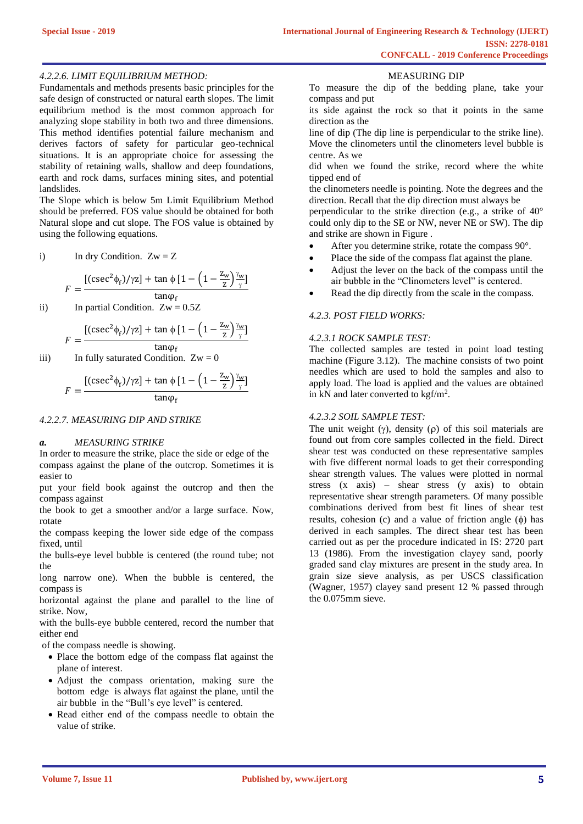#### *4.2.2.6. LIMIT EQUILIBRIUM METHOD:*

Fundamentals and methods presents basic principles for the safe design of constructed or natural earth slopes. The limit equilibrium method is the most common approach for analyzing slope stability in both two and three dimensions. This method identifies potential failure mechanism and derives factors of safety for particular geo-technical situations. It is an appropriate choice for assessing the stability of retaining walls, shallow and deep foundations, earth and rock dams, surfaces mining sites, and potential landslides.

The Slope which is below 5m Limit Equilibrium Method should be preferred. FOS value should be obtained for both Natural slope and cut slope. The FOS value is obtained by using the following equations.

i) In dry Condition. 
$$
Zw = Z
$$

$$
F = \frac{\left[ (\csc^2 \phi_f)/\gamma z \right] + \tan \phi \left[ 1 - \left( 1 - \frac{z_w}{z} \right) \frac{\gamma_w}{\gamma} \right]}{\tan \phi_f}
$$

ii) In partial Condition. 
$$
Zw = 0.5Z
$$

$$
F = \frac{\left[ (\csc^2 \phi_f)/\gamma z \right] + \tan \phi \left[ 1 - \left( 1 - \frac{z_w}{z} \right) \frac{\gamma_w}{\gamma} \right]}{\tan \phi_f}
$$

iii) In fully saturated Condition.  $Zw = 0$ 

$$
F = \frac{\left[ (\csc^2 \phi_f)/\gamma z \right] + \tan \phi \left[ 1 - \left( 1 - \frac{z_w}{z} \right) \frac{\gamma_w}{\gamma} \right]}{\tan \phi_f}
$$

#### *4.2.2.7. MEASURING DIP AND STRIKE*

#### *a. MEASURING STRIKE*

In order to measure the strike, place the side or edge of the compass against the plane of the outcrop. Sometimes it is easier to

put your field book against the outcrop and then the compass against

the book to get a smoother and/or a large surface. Now, rotate

the compass keeping the lower side edge of the compass fixed, until

the bulls-eye level bubble is centered (the round tube; not the

long narrow one). When the bubble is centered, the compass is

horizontal against the plane and parallel to the line of strike. Now,

with the bulls-eye bubble centered, record the number that either end

of the compass needle is showing.

- Place the bottom edge of the compass flat against the plane of interest.
- Adjust the compass orientation, making sure the bottom edge is always flat against the plane, until the air bubble in the "Bull's eye level" is centered.
- Read either end of the compass needle to obtain the value of strike.

#### MEASURING DIP

To measure the dip of the bedding plane, take your compass and put

its side against the rock so that it points in the same direction as the

line of dip (The dip line is perpendicular to the strike line). Move the clinometers until the clinometers level bubble is centre. As we

did when we found the strike, record where the white tipped end of

the clinometers needle is pointing. Note the degrees and the direction. Recall that the dip direction must always be

perpendicular to the strike direction (e.g., a strike of 40° could only dip to the SE or NW, never NE or SW). The dip and strike are shown in Figure .

- After you determine strike, rotate the compass 90°.
- Place the side of the compass flat against the plane.
- Adjust the lever on the back of the compass until the air bubble in the "Clinometers level" is centered.
- Read the dip directly from the scale in the compass.

# *4.2.3. POST FIELD WORKS:*

# *4.2.3.1 ROCK SAMPLE TEST:*

The collected samples are tested in point load testing machine (Figure 3.12). The machine consists of two point needles which are used to hold the samples and also to apply load. The load is applied and the values are obtained in kN and later converted to  $\text{kgf/m}^2$ .

#### *4.2.3.2 SOIL SAMPLE TEST:*

The unit weight  $(y)$ , density  $(p)$  of this soil materials are found out from core samples collected in the field. Direct shear test was conducted on these representative samples with five different normal loads to get their corresponding shear strength values. The values were plotted in normal stress (x axis) – shear stress (y axis) to obtain representative shear strength parameters. Of many possible combinations derived from best fit lines of shear test results, cohesion (c) and a value of friction angle  $(\phi)$  has derived in each samples. The direct shear test has been carried out as per the procedure indicated in IS: 2720 part 13 (1986). From the investigation clayey sand, poorly graded sand clay mixtures are present in the study area. In grain size sieve analysis, as per USCS classification (Wagner, 1957) clayey sand present 12 % passed through the 0.075mm sieve.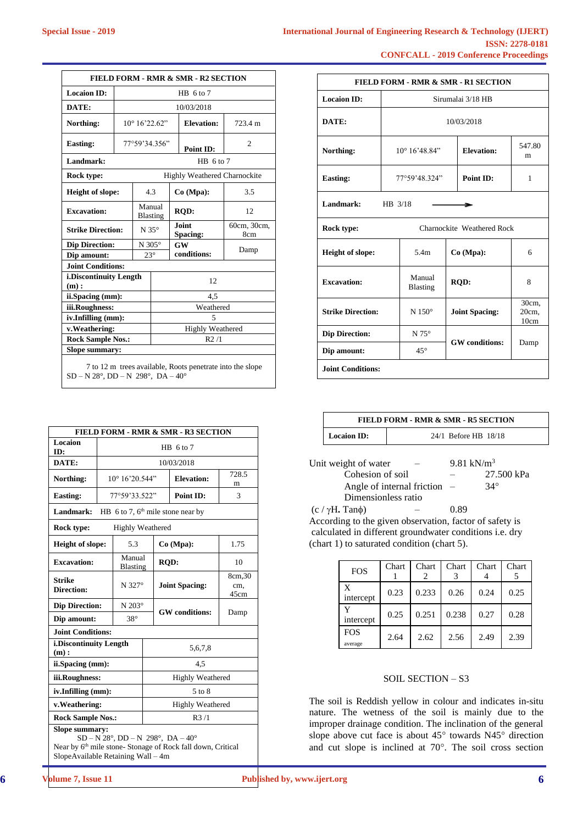| <b>International Journal of Engineering Research &amp; Technology (IJERT)</b> |                        |
|-------------------------------------------------------------------------------|------------------------|
|                                                                               | <b>ISSN: 2278-0181</b> |
| <b>CONFCALL - 2019 Conference Proceedings</b>                                 |                        |

 $\mathsf{I}$ 

| <b>FIELD FORM - RMR &amp; SMR - R2 SECTION</b>                                                                        |                         |                  |                         |                          |                                     |                    |
|-----------------------------------------------------------------------------------------------------------------------|-------------------------|------------------|-------------------------|--------------------------|-------------------------------------|--------------------|
| <b>Locaion ID:</b>                                                                                                    |                         | $HB$ 6 to 7      |                         |                          |                                     |                    |
| DATE:                                                                                                                 |                         |                  |                         |                          | 10/03/2018                          |                    |
| Northing:                                                                                                             |                         |                  | $10^{\circ} 16' 22.62"$ |                          | <b>Elevation:</b>                   | 723.4 m            |
| <b>Easting:</b>                                                                                                       |                         |                  | 77°59'34.356"           |                          | Point ID:                           | $\overline{c}$     |
| Landmark:                                                                                                             |                         |                  |                         |                          | $HB$ 6 to 7                         |                    |
| Rock type:                                                                                                            |                         |                  |                         |                          | <b>Highly Weathered Charnockite</b> |                    |
| <b>Height of slope:</b>                                                                                               |                         |                  | 4.3                     |                          | Co (Mpa):                           | 3.5                |
| <b>Excavation:</b>                                                                                                    |                         |                  | Manual<br>Blasting      | <b>ROD:</b>              |                                     | 12                 |
| <b>Strike Direction:</b>                                                                                              |                         | $N 35^\circ$     |                         | <b>Joint</b><br>Spacing: |                                     | 60cm, 30cm,<br>8cm |
| <b>Dip Direction:</b>                                                                                                 |                         | N 305 $^{\circ}$ |                         | GW                       |                                     | Damp               |
| Dip amount:                                                                                                           |                         | $23^\circ$       | conditions:             |                          |                                     |                    |
| <b>Joint Conditions:</b>                                                                                              |                         |                  |                         |                          |                                     |                    |
| i.Discontinuity Length<br>(m):                                                                                        |                         |                  |                         |                          | 12                                  |                    |
| ii.Spacing (mm):                                                                                                      |                         |                  | 4,5                     |                          |                                     |                    |
| iii.Roughness:                                                                                                        |                         |                  | Weathered               |                          |                                     |                    |
| iv.Infilling (mm):                                                                                                    | 5                       |                  |                         |                          |                                     |                    |
| v.Weathering:                                                                                                         | <b>Highly Weathered</b> |                  |                         |                          |                                     |                    |
| <b>Rock Sample Nos.:</b>                                                                                              | R2/1                    |                  |                         |                          |                                     |                    |
| <b>Slope summary:</b>                                                                                                 |                         |                  |                         |                          |                                     |                    |
| 7 to 12 m trees available, Roots penetrate into the slope<br>$SD - N 28^{\circ}, DD - N 298^{\circ}, DA - 40^{\circ}$ |                         |                  |                         |                          |                                     |                    |

| FIELD FORM - RMR & SMR - R3 SECTION                                                                                                                                                                |             |                           |                         |                         |                                     |                        |  |
|----------------------------------------------------------------------------------------------------------------------------------------------------------------------------------------------------|-------------|---------------------------|-------------------------|-------------------------|-------------------------------------|------------------------|--|
| Locaion<br>ID:                                                                                                                                                                                     | $HB$ 6 to 7 |                           |                         |                         |                                     |                        |  |
| DATE:                                                                                                                                                                                              |             |                           |                         |                         | 10/03/2018                          |                        |  |
| Northing:                                                                                                                                                                                          |             | 10° 16'20.544"            |                         |                         | <b>Elevation:</b>                   | 728.5<br>m             |  |
| <b>Easting:</b>                                                                                                                                                                                    |             | 77°59'33.522"             |                         |                         | Point ID:                           | 3                      |  |
| Landmark:                                                                                                                                                                                          |             |                           |                         |                         | HB 6 to 7, $6th$ mile stone near by |                        |  |
| Rock type:                                                                                                                                                                                         |             | <b>Highly Weathered</b>   |                         |                         |                                     |                        |  |
| <b>Height of slope:</b>                                                                                                                                                                            |             | 5.3                       |                         |                         | Co (Mpa):                           | 1.75                   |  |
| <b>Excavation:</b>                                                                                                                                                                                 |             | Manual<br><b>Blasting</b> |                         | <b>ROD:</b>             |                                     | 10                     |  |
| <b>Strike</b><br><b>Direction:</b>                                                                                                                                                                 | N 327°      |                           |                         |                         | <b>Joint Spacing:</b>               | 8cm, 30<br>cm.<br>45cm |  |
| <b>Dip Direction:</b>                                                                                                                                                                              |             | $N 203^\circ$             |                         |                         |                                     |                        |  |
| Dip amount:                                                                                                                                                                                        |             | $38^\circ$                | <b>GW</b> conditions:   |                         | Damp                                |                        |  |
| <b>Joint Conditions:</b>                                                                                                                                                                           |             |                           |                         |                         |                                     |                        |  |
| i.Discontinuity Length<br>(m):                                                                                                                                                                     |             |                           | 5,6,7,8                 |                         |                                     |                        |  |
| ii.Spacing (mm):                                                                                                                                                                                   |             |                           | 4.5                     |                         |                                     |                        |  |
| iii.Roughness:                                                                                                                                                                                     |             |                           | <b>Highly Weathered</b> |                         |                                     |                        |  |
| iv.Infilling (mm):                                                                                                                                                                                 |             |                           |                         | $5$ to $8$              |                                     |                        |  |
| v.Weathering:                                                                                                                                                                                      |             |                           |                         | <b>Highly Weathered</b> |                                     |                        |  |
| <b>Rock Sample Nos.:</b>                                                                                                                                                                           |             |                           | R3/1                    |                         |                                     |                        |  |
| <b>Slope summary:</b><br>$SD - N 28^\circ$ , $DD - N 298^\circ$ , $DA - 40^\circ$<br>Near by 6 <sup>th</sup> mile stone- Stonage of Rock fall down, Critical<br>SlopeAvailable Retaining Wall - 4m |             |                           |                         |                         |                                     |                        |  |

| FIELD FORM - RMR & SMR - R1 SECTION |               |                         |                       |                            |             |  |  |
|-------------------------------------|---------------|-------------------------|-----------------------|----------------------------|-------------|--|--|
| <b>Locaion ID:</b>                  |               | Sirumalai 3/18 HB       |                       |                            |             |  |  |
| DATE:                               |               |                         |                       | 10/03/2018                 |             |  |  |
| Northing:                           |               | $10^{\circ} 16' 48.84"$ |                       | <b>Elevation:</b>          | 547.80<br>m |  |  |
| <b>Easting:</b>                     |               | 77°59'48.324"           |                       | <b>Point ID:</b>           | 1           |  |  |
| Landmark:                           | HB 3/18       |                         |                       |                            |             |  |  |
| Rock type:                          |               |                         |                       | Charnockite Weathered Rock |             |  |  |
| <b>Height of slope:</b>             |               |                         |                       | $Co$ (Mpa):                | 6           |  |  |
| <b>Excavation:</b>                  |               |                         |                       | <b>ROD:</b>                | 8           |  |  |
| <b>Strike Direction:</b>            | $N 150^\circ$ | <b>Joint Spacing:</b>   |                       | 30cm,<br>20cm,<br>10cm     |             |  |  |
| <b>Dip Direction:</b>               |               | $N 75^{\circ}$          | <b>GW</b> conditions: |                            | Damp        |  |  |
| Dip amount:                         |               | $45^{\circ}$            |                       |                            |             |  |  |
| <b>Joint Conditions:</b>            |               |                         |                       |                            |             |  |  |

| <b>FIELD FORM - RMR &amp; SMR - R5 SECTION</b> |                      |  |  |  |  |
|------------------------------------------------|----------------------|--|--|--|--|
| <b>Locaion ID:</b>                             | 24/1 Before HB 18/18 |  |  |  |  |

| Unit weight of water           | 9.81 kN/ $m^3$ |            |
|--------------------------------|----------------|------------|
| Cohesion of soil               | —              | 27.500 kPa |
| Angle of internal friction $-$ |                | $34^\circ$ |
| Dimensionless ratio            |                |            |
| $(c / \gamma H$ . Tan $\phi$ ) | 0.89           |            |

According to the given observation, factor of safety is calculated in different groundwater conditions i.e. dry (chart 1) to saturated condition (chart 5).

| <b>FOS</b>            | Chart | Chart | Chart | Chart | Chart |
|-----------------------|-------|-------|-------|-------|-------|
| X<br>intercept        | 0.23  | 0.233 | 0.26  | 0.24  | 0.25  |
| v<br>intercept        | 0.25  | 0.251 | 0.238 | 0.27  | 0.28  |
| <b>FOS</b><br>average | 2.64  | 2.62  | 2.56  | 2.49  | 2.39  |

#### SOIL SECTION – S3

The soil is Reddish yellow in colour and indicates in-situ nature. The wetness of the soil is mainly due to the improper drainage condition. The inclination of the general slope above cut face is about  $45^{\circ}$  towards N45 $^{\circ}$  direction and cut slope is inclined at  $70^\circ$ . The soil cross section